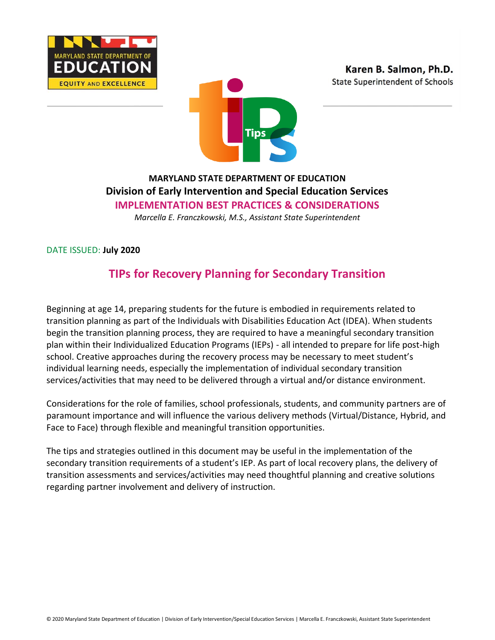



# **MARYLAND STATE DEPARTMENT OF EDUCATION Division of Early Intervention and Special Education Services IMPLEMENTATION BEST PRACTICES & CONSIDERATIONS**

*Marcella E. Franczkowski, M.S., Assistant State Superintendent*

DATE ISSUED: **July 2020**

# **TIPs for Recovery Planning for Secondary Transition**

Beginning at age 14, preparing students for the future is embodied in requirements related to transition planning as part of the Individuals with Disabilities Education Act (IDEA). When students begin the transition planning process, they are required to have a meaningful secondary transition plan within their Individualized Education Programs (IEPs) - all intended to prepare for life post-high school. Creative approaches during the recovery process may be necessary to meet student's individual learning needs, especially the implementation of individual secondary transition services/activities that may need to be delivered through a virtual and/or distance environment.

Considerations for the role of families, school professionals, students, and community partners are of paramount importance and will influence the various delivery methods (Virtual/Distance, Hybrid, and Face to Face) through flexible and meaningful transition opportunities.

The tips and strategies outlined in this document may be useful in the implementation of the secondary transition requirements of a student's IEP. As part of local recovery plans, the delivery of transition assessments and services/activities may need thoughtful planning and creative solutions regarding partner involvement and delivery of instruction.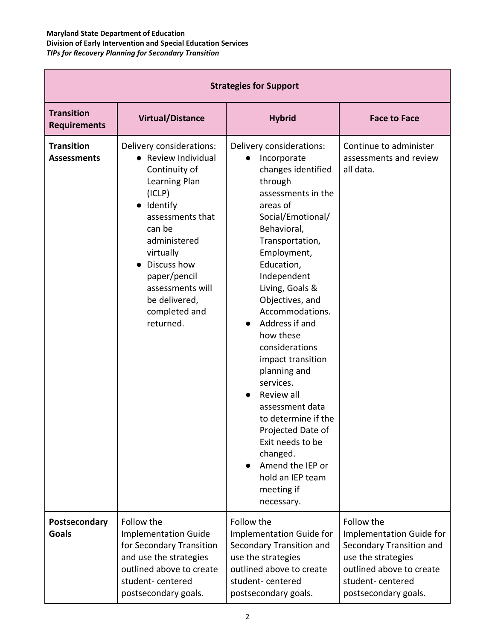| <b>Strategies for Support</b>            |                                                                                                                                                                                                                                                                      |                                                                                                                                                                                                                                                                                                                                                                                                                                                                                                                                                                                      |                                                                                                                                                                  |  |  |
|------------------------------------------|----------------------------------------------------------------------------------------------------------------------------------------------------------------------------------------------------------------------------------------------------------------------|--------------------------------------------------------------------------------------------------------------------------------------------------------------------------------------------------------------------------------------------------------------------------------------------------------------------------------------------------------------------------------------------------------------------------------------------------------------------------------------------------------------------------------------------------------------------------------------|------------------------------------------------------------------------------------------------------------------------------------------------------------------|--|--|
| <b>Transition</b><br><b>Requirements</b> | <b>Virtual/Distance</b>                                                                                                                                                                                                                                              | <b>Hybrid</b>                                                                                                                                                                                                                                                                                                                                                                                                                                                                                                                                                                        | <b>Face to Face</b>                                                                                                                                              |  |  |
| <b>Transition</b><br><b>Assessments</b>  | Delivery considerations:<br>• Review Individual<br>Continuity of<br>Learning Plan<br>(ICLP)<br>Identify<br>assessments that<br>can be<br>administered<br>virtually<br>Discuss how<br>paper/pencil<br>assessments will<br>be delivered,<br>completed and<br>returned. | Delivery considerations:<br>Incorporate<br>$\bullet$<br>changes identified<br>through<br>assessments in the<br>areas of<br>Social/Emotional/<br>Behavioral,<br>Transportation,<br>Employment,<br>Education,<br>Independent<br>Living, Goals &<br>Objectives, and<br>Accommodations.<br>Address if and<br>how these<br>considerations<br>impact transition<br>planning and<br>services.<br>Review all<br>assessment data<br>to determine if the<br>Projected Date of<br>Exit needs to be<br>changed.<br>Amend the IEP or<br>$\bullet$<br>hold an IEP team<br>meeting if<br>necessary. | Continue to administer<br>assessments and review<br>all data.                                                                                                    |  |  |
| Postsecondary<br><b>Goals</b>            | Follow the<br><b>Implementation Guide</b><br>for Secondary Transition<br>and use the strategies<br>outlined above to create<br>student-centered<br>postsecondary goals.                                                                                              | Follow the<br>Implementation Guide for<br>Secondary Transition and<br>use the strategies<br>outlined above to create<br>student-centered<br>postsecondary goals.                                                                                                                                                                                                                                                                                                                                                                                                                     | Follow the<br>Implementation Guide for<br>Secondary Transition and<br>use the strategies<br>outlined above to create<br>student-centered<br>postsecondary goals. |  |  |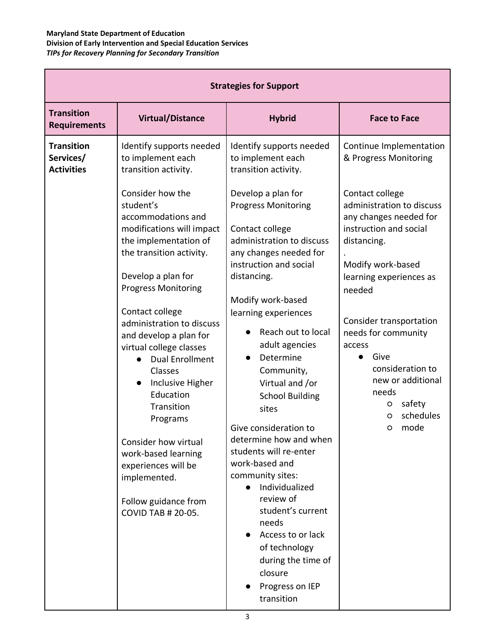| <b>Strategies for Support</b>                       |                                                                                                                                                                                                                                                                                                                                                                                                                                                                                                                                                        |                                                                                                                                                                                                                                                                                                                                                                                                                                                                                                                                                  |                                                                                                                                                                                                                                                                                                                                                     |  |  |
|-----------------------------------------------------|--------------------------------------------------------------------------------------------------------------------------------------------------------------------------------------------------------------------------------------------------------------------------------------------------------------------------------------------------------------------------------------------------------------------------------------------------------------------------------------------------------------------------------------------------------|--------------------------------------------------------------------------------------------------------------------------------------------------------------------------------------------------------------------------------------------------------------------------------------------------------------------------------------------------------------------------------------------------------------------------------------------------------------------------------------------------------------------------------------------------|-----------------------------------------------------------------------------------------------------------------------------------------------------------------------------------------------------------------------------------------------------------------------------------------------------------------------------------------------------|--|--|
| <b>Transition</b><br><b>Requirements</b>            | <b>Virtual/Distance</b>                                                                                                                                                                                                                                                                                                                                                                                                                                                                                                                                | <b>Hybrid</b>                                                                                                                                                                                                                                                                                                                                                                                                                                                                                                                                    | <b>Face to Face</b>                                                                                                                                                                                                                                                                                                                                 |  |  |
| <b>Transition</b><br>Services/<br><b>Activities</b> | Identify supports needed<br>to implement each<br>transition activity.                                                                                                                                                                                                                                                                                                                                                                                                                                                                                  | Identify supports needed<br>to implement each<br>transition activity.                                                                                                                                                                                                                                                                                                                                                                                                                                                                            | Continue Implementation<br>& Progress Monitoring                                                                                                                                                                                                                                                                                                    |  |  |
|                                                     | Consider how the<br>student's<br>accommodations and<br>modifications will impact<br>the implementation of<br>the transition activity.<br>Develop a plan for<br><b>Progress Monitoring</b><br>Contact college<br>administration to discuss<br>and develop a plan for<br>virtual college classes<br><b>Dual Enrollment</b><br>Classes<br>Inclusive Higher<br>$\bullet$<br>Education<br>Transition<br>Programs<br>Consider how virtual<br>work-based learning<br>experiences will be<br>implemented.<br>Follow guidance from<br><b>COVID TAB # 20-05.</b> | Develop a plan for<br><b>Progress Monitoring</b><br>Contact college<br>administration to discuss<br>any changes needed for<br>instruction and social<br>distancing.<br>Modify work-based<br>learning experiences<br>Reach out to local<br>adult agencies<br>Determine<br>Community,<br>Virtual and /or<br><b>School Building</b><br>sites<br>Give consideration to<br>determine how and when<br>students will re-enter<br>work-based and<br>community sites:<br>Individualized<br>review of<br>student's current<br>needs<br>• Access to or lack | Contact college<br>administration to discuss<br>any changes needed for<br>instruction and social<br>distancing.<br>Modify work-based<br>learning experiences as<br>needed<br>Consider transportation<br>needs for community<br>access<br>Give<br>consideration to<br>new or additional<br>needs<br>safety<br>$\circ$<br>schedules<br>O<br>mode<br>O |  |  |
|                                                     |                                                                                                                                                                                                                                                                                                                                                                                                                                                                                                                                                        | of technology<br>during the time of<br>closure<br>Progress on IEP<br>transition                                                                                                                                                                                                                                                                                                                                                                                                                                                                  |                                                                                                                                                                                                                                                                                                                                                     |  |  |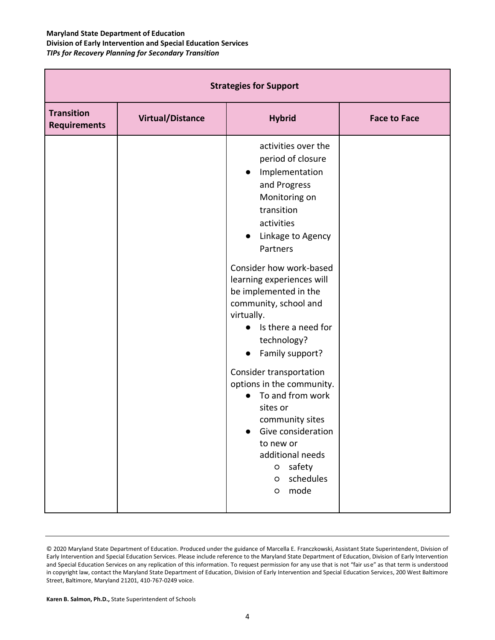| <b>Strategies for Support</b>            |                         |                                                                                                                                                                                                                                                                                                                                                                                  |                     |  |  |
|------------------------------------------|-------------------------|----------------------------------------------------------------------------------------------------------------------------------------------------------------------------------------------------------------------------------------------------------------------------------------------------------------------------------------------------------------------------------|---------------------|--|--|
| <b>Transition</b><br><b>Requirements</b> | <b>Virtual/Distance</b> | <b>Hybrid</b>                                                                                                                                                                                                                                                                                                                                                                    | <b>Face to Face</b> |  |  |
|                                          |                         | activities over the<br>period of closure<br>Implementation<br>$\bullet$<br>and Progress<br>Monitoring on<br>transition<br>activities<br>Linkage to Agency<br>$\bullet$<br>Partners<br>Consider how work-based<br>learning experiences will<br>be implemented in the<br>community, school and<br>virtually.<br>Is there a need for<br>technology?<br>Family support?<br>$\bullet$ |                     |  |  |
|                                          |                         | Consider transportation<br>options in the community.<br>To and from work<br>sites or<br>community sites<br>• Give consideration<br>to new or<br>additional needs<br>safety<br>$\circ$<br>schedules<br>O<br>mode<br>$\circ$                                                                                                                                                       |                     |  |  |

**Karen B. Salmon, Ph.D.,** State Superintendent of Schools

<sup>© 2020</sup> Maryland State Department of Education. Produced under the guidance of Marcella E. Franczkowski, Assistant State Superintendent, Division of Early Intervention and Special Education Services. Please include reference to the Maryland State Department of Education, Division of Early Intervention and Special Education Services on any replication of this information. To request permission for any use that is not "fair use" as that term is understood in copyright law, contact the Maryland State Department of Education, Division of Early Intervention and Special Education Services, 200 West Baltimore Street, Baltimore, Maryland 21201, 410-767-0249 voice.